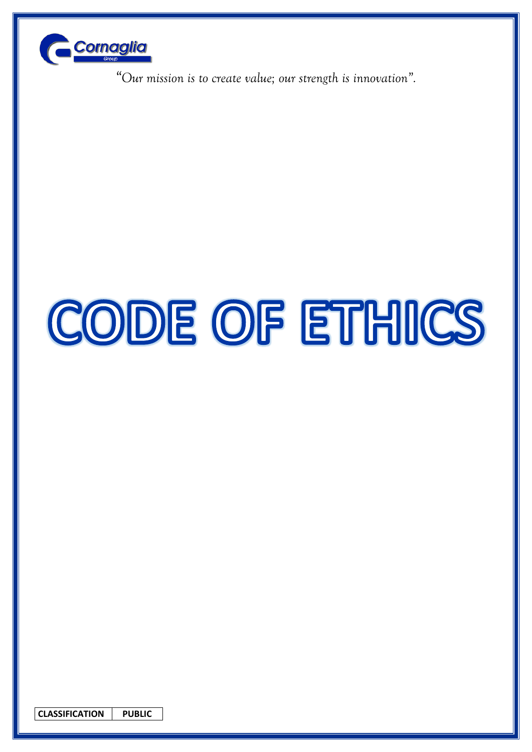

# CODE OF ETHICS

**CLASSIFICATION PUBLIC**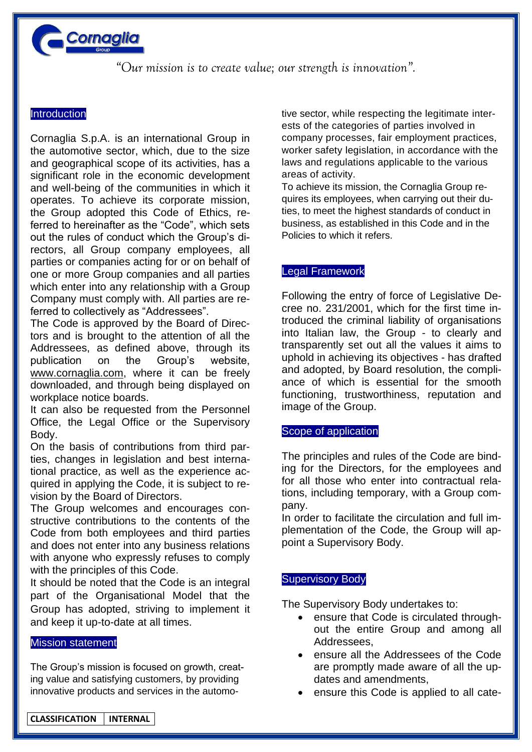

# **Introduction**

Cornaglia S.p.A. is an international Group in the automotive sector, which, due to the size and geographical scope of its activities, has a significant role in the economic development and well-being of the communities in which it operates. To achieve its corporate mission, the Group adopted this Code of Ethics, referred to hereinafter as the "Code", which sets out the rules of conduct which the Group's directors, all Group company employees, all parties or companies acting for or on behalf of one or more Group companies and all parties which enter into any relationship with a Group Company must comply with. All parties are referred to collectively as "Addressees".

The Code is approved by the Board of Directors and is brought to the attention of all the Addressees, as defined above, through its publication on the Group's website, [www.cornaglia.com,](http://www.cornaglia.com/) where it can be freely downloaded, and through being displayed on workplace notice boards.

It can also be requested from the Personnel Office, the Legal Office or the Supervisory Body.

On the basis of contributions from third parties, changes in legislation and best international practice, as well as the experience acquired in applying the Code, it is subject to revision by the Board of Directors.

The Group welcomes and encourages constructive contributions to the contents of the Code from both employees and third parties and does not enter into any business relations with anyone who expressly refuses to comply with the principles of this Code.

It should be noted that the Code is an integral part of the Organisational Model that the Group has adopted, striving to implement it and keep it up-to-date at all times.

## Mission statement

l

The Group's mission is focused on growth, creating value and satisfying customers, by providing innovative products and services in the automotive sector, while respecting the legitimate interests of the categories of parties involved in company processes, fair employment practices, worker safety legislation, in accordance with the laws and regulations applicable to the various areas of activity.

To achieve its mission, the Cornaglia Group requires its employees, when carrying out their duties, to meet the highest standards of conduct in business, as established in this Code and in the Policies to which it refers.

# Legal Framework

Following the entry of force of Legislative Decree no. 231/2001, which for the first time introduced the criminal liability of organisations into Italian law, the Group - to clearly and transparently set out all the values it aims to uphold in achieving its objectives - has drafted and adopted, by Board resolution, the compliance of which is essential for the smooth functioning, trustworthiness, reputation and image of the Group.

## Scope of application

The principles and rules of the Code are binding for the Directors, for the employees and for all those who enter into contractual relations, including temporary, with a Group company.

In order to facilitate the circulation and full implementation of the Code, the Group will appoint a Supervisory Body.

#### Supervisory Body

The Supervisory Body undertakes to:

- ensure that Code is circulated throughout the entire Group and among all Addressees,
- ensure all the Addressees of the Code are promptly made aware of all the updates and amendments,
- ensure this Code is applied to all cate-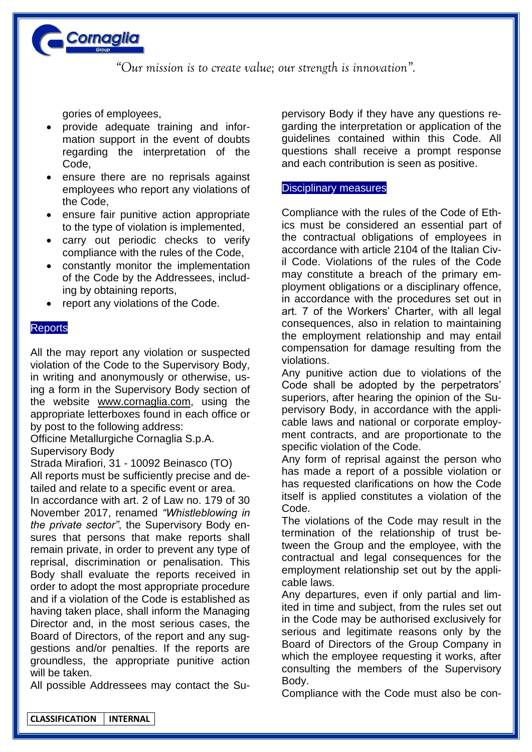

gories of employees,

- provide adequate training and information support in the event of doubts regarding the interpretation of the Code,
- ensure there are no reprisals against employees who report any violations of the Code,
- ensure fair punitive action appropriate to the type of violation is implemented,
- carry out periodic checks to verify compliance with the rules of the Code,
- constantly monitor the implementation of the Code by the Addressees, including by obtaining reports,
- report any violations of the Code.

# **Reports**

All the may report any violation or suspected violation of the Code to the Supervisory Body, in writing and anonymously or otherwise, using a form in the Supervisory Body section of the website www.cornaglia.com, using the appropriate letterboxes found in each office or by post to the following address:

Officine Metallurgiche Cornaglia S.p.A. Supervisory Body

Strada Mirafiori, 31 - 10092 Beinasco (TO) All reports must be sufficiently precise and detailed and relate to a specific event or area.

In accordance with art. 2 of Law no. 179 of 30 November 2017, renamed *"Whistleblowing in the private sector"*, the Supervisory Body ensures that persons that make reports shall remain private, in order to prevent any type of reprisal, discrimination or penalisation. This Body shall evaluate the reports received in order to adopt the most appropriate procedure and if a violation of the Code is established as having taken place, shall inform the Managing Director and, in the most serious cases, the Board of Directors, of the report and any suggestions and/or penalties. If the reports are groundless, the appropriate punitive action will be taken.

All possible Addressees may contact the Su-

pervisory Body if they have any questions regarding the interpretation or application of the guidelines contained within this Code. All questions shall receive a prompt response and each contribution is seen as positive.

## Disciplinary measures

Compliance with the rules of the Code of Ethics must be considered an essential part of the contractual obligations of employees in accordance with article 2104 of the Italian Civil Code. Violations of the rules of the Code may constitute a breach of the primary employment obligations or a disciplinary offence, in accordance with the procedures set out in art. 7 of the Workers' Charter, with all legal consequences, also in relation to maintaining the employment relationship and may entail compensation for damage resulting from the violations.

Any punitive action due to violations of the Code shall be adopted by the perpetrators' superiors, after hearing the opinion of the Supervisory Body, in accordance with the applicable laws and national or corporate employment contracts, and are proportionate to the specific violation of the Code.

Any form of reprisal against the person who has made a report of a possible violation or has requested clarifications on how the Code itself is applied constitutes a violation of the Code.

The violations of the Code may result in the termination of the relationship of trust between the Group and the employee, with the contractual and legal consequences for the employment relationship set out by the applicable laws.

Any departures, even if only partial and limited in time and subject, from the rules set out in the Code may be authorised exclusively for serious and legitimate reasons only by the Board of Directors of the Group Company in which the employee requesting it works, after consulting the members of the Supervisory Body.

Compliance with the Code must also be con-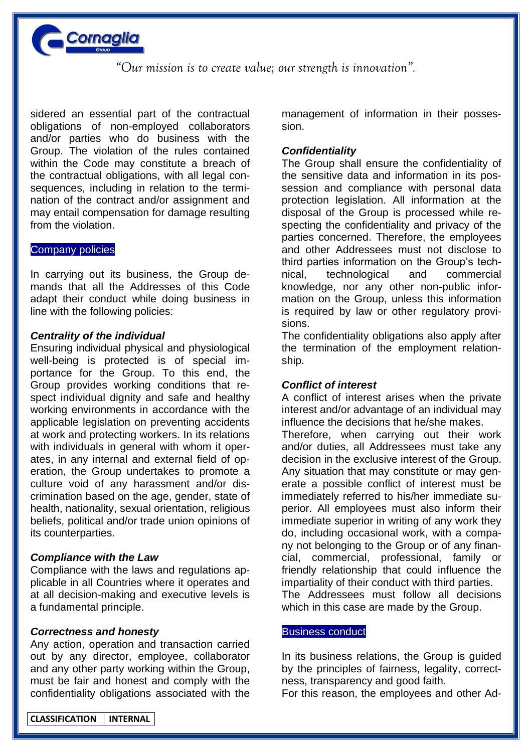

sidered an essential part of the contractual obligations of non-employed collaborators and/or parties who do business with the Group. The violation of the rules contained within the Code may constitute a breach of the contractual obligations, with all legal consequences, including in relation to the termination of the contract and/or assignment and may entail compensation for damage resulting from the violation.

#### Company policies

In carrying out its business, the Group demands that all the Addresses of this Code adapt their conduct while doing business in line with the following policies:

#### *Centrality of the individual*

Ensuring individual physical and physiological well-being is protected is of special importance for the Group. To this end, the Group provides working conditions that respect individual dignity and safe and healthy working environments in accordance with the applicable legislation on preventing accidents at work and protecting workers. In its relations with individuals in general with whom it operates, in any internal and external field of operation, the Group undertakes to promote a culture void of any harassment and/or discrimination based on the age, gender, state of health, nationality, sexual orientation, religious beliefs, political and/or trade union opinions of its counterparties.

## *Compliance with the Law*

Compliance with the laws and regulations applicable in all Countries where it operates and at all decision-making and executive levels is a fundamental principle.

#### *Correctness and honesty*

Any action, operation and transaction carried out by any director, employee, collaborator and any other party working within the Group, must be fair and honest and comply with the confidentiality obligations associated with the

management of information in their possession.

## *Confidentiality*

The Group shall ensure the confidentiality of the sensitive data and information in its possession and compliance with personal data protection legislation. All information at the disposal of the Group is processed while respecting the confidentiality and privacy of the parties concerned. Therefore, the employees and other Addressees must not disclose to third parties information on the Group's technical, technological and commercial knowledge, nor any other non-public information on the Group, unless this information is required by law or other regulatory provisions.

The confidentiality obligations also apply after the termination of the employment relationship.

## *Conflict of interest*

A conflict of interest arises when the private interest and/or advantage of an individual may influence the decisions that he/she makes. Therefore, when carrying out their work and/or duties, all Addressees must take any decision in the exclusive interest of the Group. Any situation that may constitute or may generate a possible conflict of interest must be immediately referred to his/her immediate superior. All employees must also inform their immediate superior in writing of any work they do, including occasional work, with a company not belonging to the Group or of any financial, commercial, professional, family or friendly relationship that could influence the impartiality of their conduct with third parties. The Addressees must follow all decisions which in this case are made by the Group.

#### Business conduct

In its business relations, the Group is guided by the principles of fairness, legality, correctness, transparency and good faith.

For this reason, the employees and other Ad-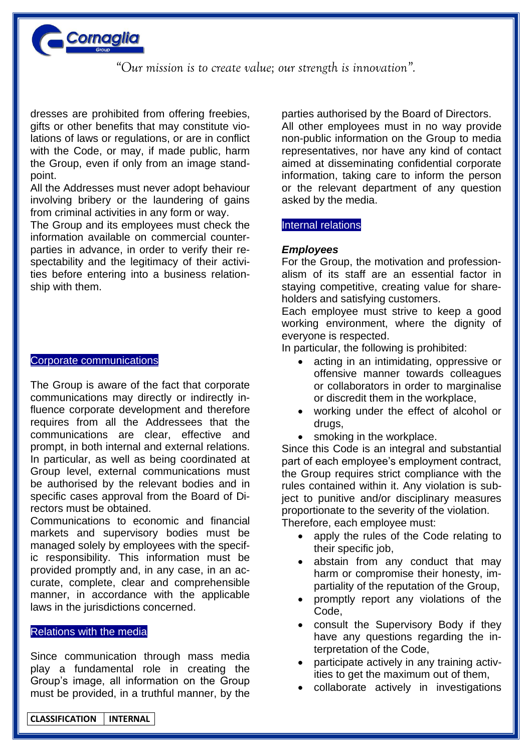

dresses are prohibited from offering freebies, gifts or other benefits that may constitute violations of laws or regulations, or are in conflict with the Code, or may, if made public, harm the Group, even if only from an image standpoint.

All the Addresses must never adopt behaviour involving bribery or the laundering of gains from criminal activities in any form or way.

The Group and its employees must check the information available on commercial counterparties in advance, in order to verify their respectability and the legitimacy of their activities before entering into a business relationship with them.

#### Corporate communications

The Group is aware of the fact that corporate communications may directly or indirectly influence corporate development and therefore requires from all the Addressees that the communications are clear, effective and prompt, in both internal and external relations. In particular, as well as being coordinated at Group level, external communications must be authorised by the relevant bodies and in specific cases approval from the Board of Directors must be obtained.

Communications to economic and financial markets and supervisory bodies must be managed solely by employees with the specific responsibility. This information must be provided promptly and, in any case, in an accurate, complete, clear and comprehensible manner, in accordance with the applicable laws in the jurisdictions concerned.

#### Relations with the media

Since communication through mass media play a fundamental role in creating the Group's image, all information on the Group must be provided, in a truthful manner, by the parties authorised by the Board of Directors. All other employees must in no way provide non-public information on the Group to media representatives, nor have any kind of contact aimed at disseminating confidential corporate information, taking care to inform the person or the relevant department of any question asked by the media.

#### Internal relations

## *Employees*

For the Group, the motivation and professionalism of its staff are an essential factor in staying competitive, creating value for shareholders and satisfying customers.

Each employee must strive to keep a good working environment, where the dignity of everyone is respected.

In particular, the following is prohibited:

- acting in an intimidating, oppressive or offensive manner towards colleagues or collaborators in order to marginalise or discredit them in the workplace,
- working under the effect of alcohol or drugs,
- smoking in the workplace.

Since this Code is an integral and substantial part of each employee's employment contract, the Group requires strict compliance with the rules contained within it. Any violation is subject to punitive and/or disciplinary measures proportionate to the severity of the violation. Therefore, each employee must:

- apply the rules of the Code relating to
	- their specific job.
	- abstain from any conduct that may harm or compromise their honesty, impartiality of the reputation of the Group,
	- promptly report any violations of the Code,
	- consult the Supervisory Body if they have any questions regarding the interpretation of the Code,
	- participate actively in any training activities to get the maximum out of them,
	- collaborate actively in investigations

**CLASSIFICATION INTERNAL**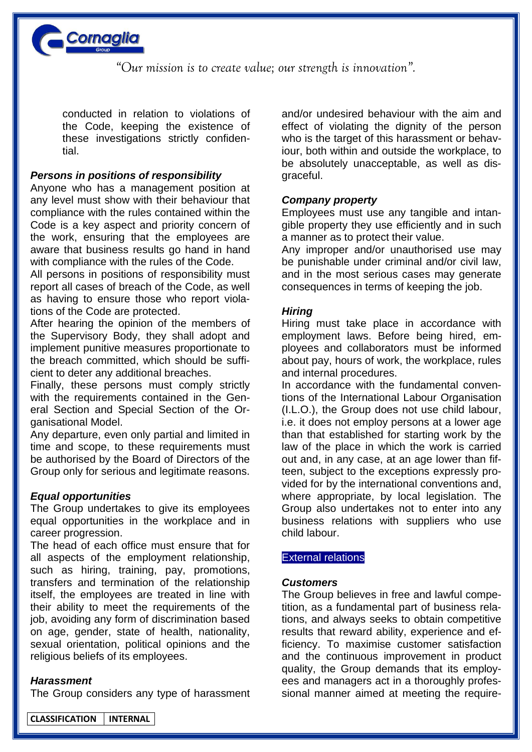

conducted in relation to violations of the Code, keeping the existence of these investigations strictly confidential.

## *Persons in positions of responsibility*

Anyone who has a management position at any level must show with their behaviour that compliance with the rules contained within the Code is a key aspect and priority concern of the work, ensuring that the employees are aware that business results go hand in hand with compliance with the rules of the Code.

All persons in positions of responsibility must report all cases of breach of the Code, as well as having to ensure those who report violations of the Code are protected.

After hearing the opinion of the members of the Supervisory Body, they shall adopt and implement punitive measures proportionate to the breach committed, which should be sufficient to deter any additional breaches.

Finally, these persons must comply strictly with the requirements contained in the General Section and Special Section of the Organisational Model.

Any departure, even only partial and limited in time and scope, to these requirements must be authorised by the Board of Directors of the Group only for serious and legitimate reasons.

## *Equal opportunities*

The Group undertakes to give its employees equal opportunities in the workplace and in career progression.

The head of each office must ensure that for all aspects of the employment relationship, such as hiring, training, pay, promotions, transfers and termination of the relationship itself, the employees are treated in line with their ability to meet the requirements of the job, avoiding any form of discrimination based on age, gender, state of health, nationality, sexual orientation, political opinions and the religious beliefs of its employees.

## *Harassment*

l

The Group considers any type of harassment

and/or undesired behaviour with the aim and effect of violating the dignity of the person who is the target of this harassment or behaviour, both within and outside the workplace, to be absolutely unacceptable, as well as disgraceful.

## *Company property*

Employees must use any tangible and intangible property they use efficiently and in such a manner as to protect their value.

Any improper and/or unauthorised use may be punishable under criminal and/or civil law, and in the most serious cases may generate consequences in terms of keeping the job.

## *Hiring*

Hiring must take place in accordance with employment laws. Before being hired, employees and collaborators must be informed about pay, hours of work, the workplace, rules and internal procedures.

In accordance with the fundamental conventions of the International Labour Organisation (I.L.O.), the Group does not use child labour, i.e. it does not employ persons at a lower age than that established for starting work by the law of the place in which the work is carried out and, in any case, at an age lower than fifteen, subject to the exceptions expressly provided for by the international conventions and, where appropriate, by local legislation. The Group also undertakes not to enter into any business relations with suppliers who use child labour.

## External relations

## *Customers*

The Group believes in free and lawful competition, as a fundamental part of business relations, and always seeks to obtain competitive results that reward ability, experience and efficiency. To maximise customer satisfaction and the continuous improvement in product quality, the Group demands that its employees and managers act in a thoroughly professional manner aimed at meeting the require-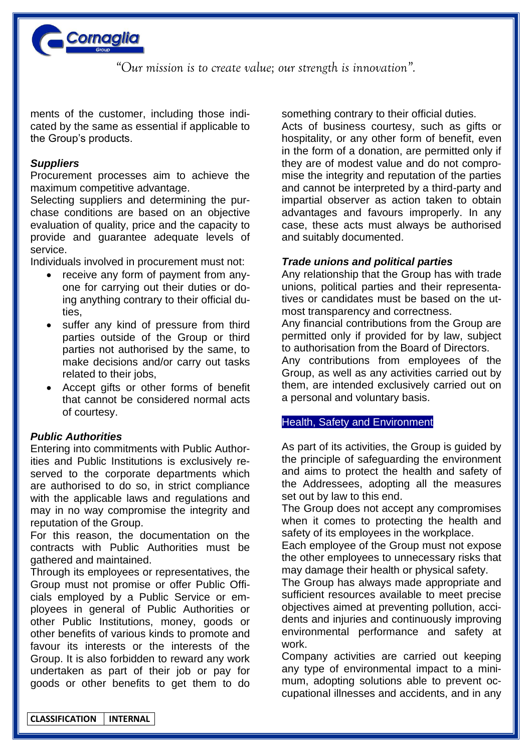

ments of the customer, including those indicated by the same as essential if applicable to the Group's products.

## *Suppliers*

Procurement processes aim to achieve the maximum competitive advantage.

Selecting suppliers and determining the purchase conditions are based on an objective evaluation of quality, price and the capacity to provide and guarantee adequate levels of service.

Individuals involved in procurement must not:

- receive any form of payment from anyone for carrying out their duties or doing anything contrary to their official duties,
- suffer any kind of pressure from third parties outside of the Group or third parties not authorised by the same, to make decisions and/or carry out tasks related to their jobs,
- Accept gifts or other forms of benefit that cannot be considered normal acts of courtesy.

# *Public Authorities*

Entering into commitments with Public Authorities and Public Institutions is exclusively reserved to the corporate departments which are authorised to do so, in strict compliance with the applicable laws and regulations and may in no way compromise the integrity and reputation of the Group.

For this reason, the documentation on the contracts with Public Authorities must be gathered and maintained.

Through its employees or representatives, the Group must not promise or offer Public Officials employed by a Public Service or employees in general of Public Authorities or other Public Institutions, money, goods or other benefits of various kinds to promote and favour its interests or the interests of the Group. It is also forbidden to reward any work undertaken as part of their job or pay for goods or other benefits to get them to do something contrary to their official duties.

Acts of business courtesy, such as gifts or hospitality, or any other form of benefit, even in the form of a donation, are permitted only if they are of modest value and do not compromise the integrity and reputation of the parties and cannot be interpreted by a third-party and impartial observer as action taken to obtain advantages and favours improperly. In any case, these acts must always be authorised and suitably documented.

## *Trade unions and political parties*

Any relationship that the Group has with trade unions, political parties and their representatives or candidates must be based on the utmost transparency and correctness.

Any financial contributions from the Group are permitted only if provided for by law, subject to authorisation from the Board of Directors.

Any contributions from employees of the Group, as well as any activities carried out by them, are intended exclusively carried out on a personal and voluntary basis.

## Health, Safety and Environment

As part of its activities, the Group is guided by the principle of safeguarding the environment and aims to protect the health and safety of the Addressees, adopting all the measures set out by law to this end.

The Group does not accept any compromises when it comes to protecting the health and safety of its employees in the workplace.

Each employee of the Group must not expose the other employees to unnecessary risks that may damage their health or physical safety.

The Group has always made appropriate and sufficient resources available to meet precise objectives aimed at preventing pollution, accidents and injuries and continuously improving environmental performance and safety at work.

Company activities are carried out keeping any type of environmental impact to a minimum, adopting solutions able to prevent occupational illnesses and accidents, and in any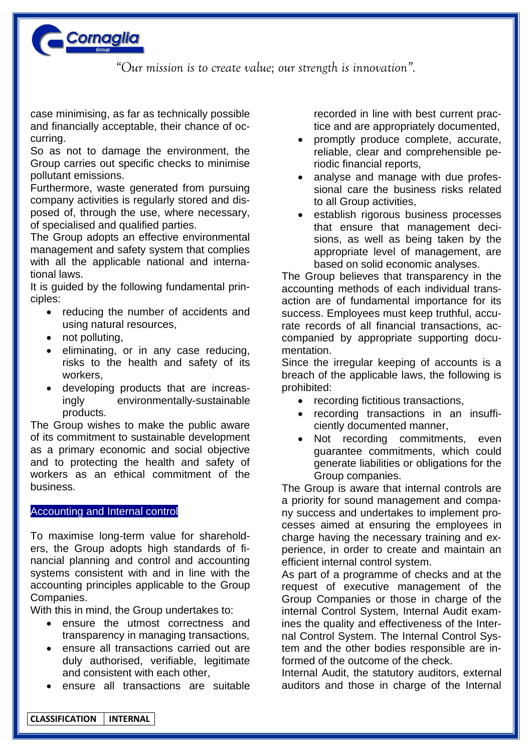

case minimising, as far as technically possible and financially acceptable, their chance of occurring.

So as not to damage the environment, the Group carries out specific checks to minimise pollutant emissions.

Furthermore, waste generated from pursuing company activities is regularly stored and disposed of, through the use, where necessary, of specialised and qualified parties.

The Group adopts an effective environmental management and safety system that complies with all the applicable national and international laws.

It is guided by the following fundamental principles:

- reducing the number of accidents and using natural resources,
- not polluting,
- eliminating, or in any case reducing, risks to the health and safety of its workers,
- developing products that are increasingly environmentally-sustainable products.

The Group wishes to make the public aware of its commitment to sustainable development as a primary economic and social objective and to protecting the health and safety of workers as an ethical commitment of the business.

# Accounting and Internal control

To maximise long-term value for shareholders, the Group adopts high standards of financial planning and control and accounting systems consistent with and in line with the accounting principles applicable to the Group Companies.

With this in mind, the Group undertakes to:

- ensure the utmost correctness and transparency in managing transactions,
- ensure all transactions carried out are duly authorised, verifiable, legitimate and consistent with each other,
- ensure all transactions are suitable

recorded in line with best current practice and are appropriately documented,

- promptly produce complete, accurate, reliable, clear and comprehensible periodic financial reports,
- analyse and manage with due professional care the business risks related to all Group activities,
- establish rigorous business processes that ensure that management decisions, as well as being taken by the appropriate level of management, are based on solid economic analyses.

The Group believes that transparency in the accounting methods of each individual transaction are of fundamental importance for its success. Employees must keep truthful, accurate records of all financial transactions, accompanied by appropriate supporting documentation.

Since the irregular keeping of accounts is a breach of the applicable laws, the following is prohibited:

- recording fictitious transactions,
- recording transactions in an insufficiently documented manner,
- Not recording commitments, even guarantee commitments, which could generate liabilities or obligations for the Group companies.

The Group is aware that internal controls are a priority for sound management and company success and undertakes to implement processes aimed at ensuring the employees in charge having the necessary training and experience, in order to create and maintain an efficient internal control system.

As part of a programme of checks and at the request of executive management of the Group Companies or those in charge of the internal Control System, Internal Audit examines the quality and effectiveness of the Internal Control System. The Internal Control System and the other bodies responsible are informed of the outcome of the check.

Internal Audit, the statutory auditors, external auditors and those in charge of the Internal